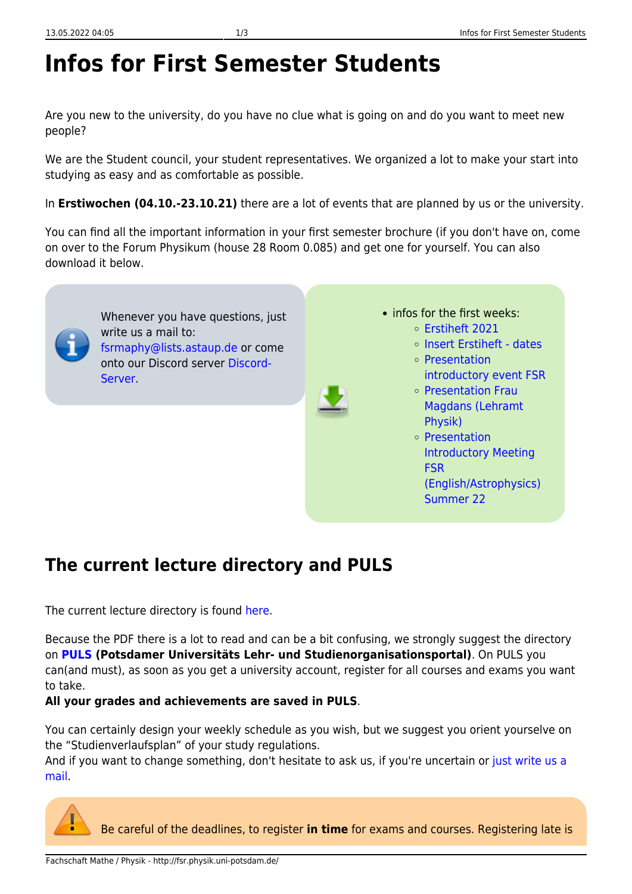# **Infos for First Semester Students**

Are you new to the university, do you have no clue what is going on and do you want to meet new people?

We are the Student council, your student representatives. We organized a lot to make your start into studying as easy and as comfortable as possible.

In **Erstiwochen (04.10.-23.10.21)** there are a lot of events that are planned by us or the university.

You can find all the important information in your first semester brochure (if you don't have on, come on over to the Forum Physikum (house 28 Room 0.085) and get one for yourself. You can also download it below.



Whenever you have questions, just write us a mail to: [fsrmaphy@lists.astaup.de](mailto:fsrmaphy@lists.astaup.de) or come onto our Discord server [Discord-](https://discord.gg/zeEpMNhjHH)[Server](https://discord.gg/zeEpMNhjHH).



- infos for the first weeks: [Erstiheft 2021](http://fsr.physik.uni-potsdam.de/lib/exe/fetch.php?media=erstis:aktuell:erstiheft_mathephysik_2021.pdf)
	- o [Insert Erstiheft dates](http://fsr.physik.uni-potsdam.de/lib/exe/fetch.php?media=erstis:aktuell:einlage_erstiheft_2021.pdf)
	- [Presentation](http://fsr.physik.uni-potsdam.de/lib/exe/fetch.php?media=erstis:aktuell:erstiveranstaltung_praesi_2021.pdf)
	- [introductory event FSR](http://fsr.physik.uni-potsdam.de/lib/exe/fetch.php?media=erstis:aktuell:erstiveranstaltung_praesi_2021.pdf)
	- o [Presentation Frau](http://fsr.physik.uni-potsdam.de/lib/exe/fetch.php?media=erstis:aktuell:einfuehrung_erstsemester_la_ws_21_kompr.pdf) [Magdans \(Lehramt](http://fsr.physik.uni-potsdam.de/lib/exe/fetch.php?media=erstis:aktuell:einfuehrung_erstsemester_la_ws_21_kompr.pdf) [Physik\)](http://fsr.physik.uni-potsdam.de/lib/exe/fetch.php?media=erstis:aktuell:einfuehrung_erstsemester_la_ws_21_kompr.pdf)
	- [Presentation](http://fsr.physik.uni-potsdam.de/lib/exe/fetch.php?media=erstis:aktuell:erstiveranstaltung_summer_22_englisch_.pdf) [Introductory Meeting](http://fsr.physik.uni-potsdam.de/lib/exe/fetch.php?media=erstis:aktuell:erstiveranstaltung_summer_22_englisch_.pdf) [FSR](http://fsr.physik.uni-potsdam.de/lib/exe/fetch.php?media=erstis:aktuell:erstiveranstaltung_summer_22_englisch_.pdf) [\(English/Astrophysics\)](http://fsr.physik.uni-potsdam.de/lib/exe/fetch.php?media=erstis:aktuell:erstiveranstaltung_summer_22_englisch_.pdf) [Summer 22](http://fsr.physik.uni-potsdam.de/lib/exe/fetch.php?media=erstis:aktuell:erstiveranstaltung_summer_22_englisch_.pdf)

## **The current lecture directory and PULS**

The current lecture directory is found [here.](http://www.uni-potsdam.de/studium/konkret/vorlesungsverzeichnisse.html)

Because the PDF there is a lot to read and can be a bit confusing, we strongly suggest the directory on **[PULS](https://puls.uni-potsdam.de/qisserver/rds?state=wtree&search=1&category=veranstaltung.browse&topitem=lectures&subitem=lectureindex&breadcrumb=lectureindex) (Potsdamer Universitäts Lehr- und Studienorganisationsportal)**. On PULS you can(and must), as soon as you get a university account, register for all courses and exams you want to take.

**All your grades and achievements are saved in PULS**.

You can certainly design your weekly schedule as you wish, but we suggest you orient yourselve on the "Studienverlaufsplan" of your study regulations.

And if you want to change something, don't hesitate to ask us, if you're uncertain or [just write us a](mailto:fsrmaphy@lists.astaup.de) [mail.](mailto:fsrmaphy@lists.astaup.de)



Be careful of the deadlines, to register **in time** for exams and courses. Registering late is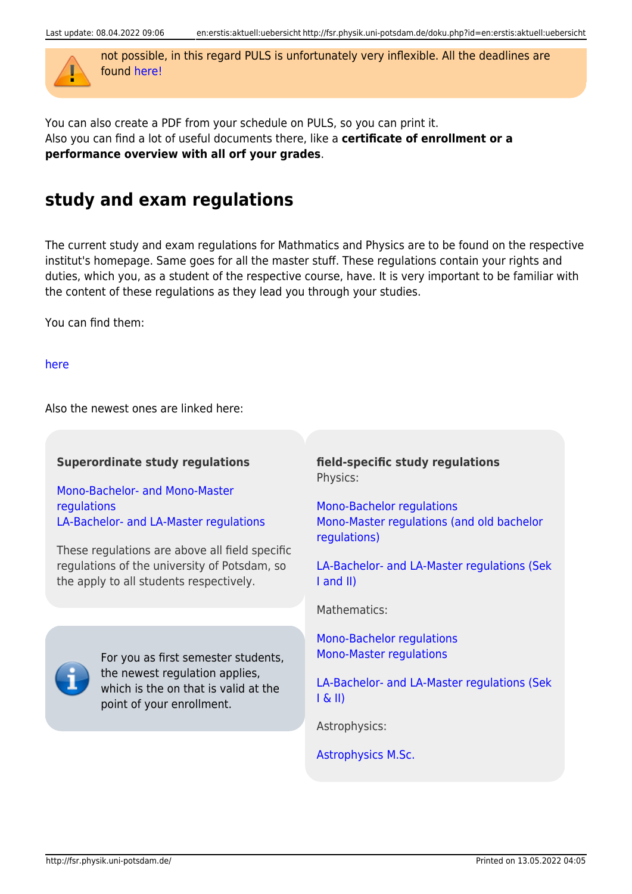

not possible, in this regard PULS is unfortunately very inflexible. All the deadlines are found [here!](https://www.uni-potsdam.de/de/studium/termine/semestertermine)

You can also create a PDF from your schedule on PULS, so you can print it. Also you can find a lot of useful documents there, like a **certificate of enrollment or a performance overview with all orf your grades**.

### **study and exam regulations**

The current study and exam regulations for Mathmatics and Physics are to be found on the respective institut's homepage. Same goes for all the master stuff. These regulations contain your rights and duties, which you, as a student of the respective course, have. It is very important to be familiar with the content of these regulations as they lead you through your studies.

You can find them:

[here](http://www.uni-potsdam.de/studium/konkret/rechtsgrundlagen/studienordnungen.html)

Also the newest ones are linked here:

#### **Superordinate study regulations**

[Mono-Bachelor- and Mono-Master](http://www.uni-potsdam.de/am-up/2016/ambek-2016-07-568-591.pdf) [regulations](http://www.uni-potsdam.de/am-up/2016/ambek-2016-07-568-591.pdf) [LA-Bachelor- and LA-Master regulations](http://www.uni-potsdam.de/am-up/2016/ambek-2016-07-599-625.pdf)

These regulations are above all field specific regulations of the university of Potsdam, so the apply to all students respectively.

> For you as first semester students, the newest regulation applies, which is the on that is valid at the

**field-specific study regulations** Physics:

[Mono-Bachelor regulations](http://www.uni-potsdam.de/am-up/2017/ambek-2017-13-568-575.pdf) [Mono-Master regulations \(and old bachelor](http://www.uni-potsdam.de/am-up/2012/ambek-2012-13-395-404.pdf) [regulations\)](http://www.uni-potsdam.de/am-up/2012/ambek-2012-13-395-404.pdf)

[LA-Bachelor- and LA-Master regulations \(Sek](http://www.uni-potsdam.de/am-up/2016/ambek-2016-08-653-659.pdf) [I and II\)](http://www.uni-potsdam.de/am-up/2016/ambek-2016-08-653-659.pdf)

[LA-Bachelor- and LA-Master regulations \(Sek](http://www.uni-potsdam.de/am-up/2014/ambek-2014-15-1073-1091.pdf)

Mathematics:

point of your enrollment.

 $I & (II)$ 

[Mono-Bachelor regulations](http://www.uni-potsdam.de/am-up/2015/ambek-2015-08-454-461.pdf) [Mono-Master regulations](http://www.uni-potsdam.de/am-up/2015/ambek-2015-08-462-473.pdf)

Astrophysics:

[Astrophysics M.Sc.](https://www.uni-potsdam.de/fileadmin/projects/studium/docs/03_studium_konkret/07_rechtsgrundlagen/studienordnungen/BAMA-O-Astrophysics_EN.pdf)